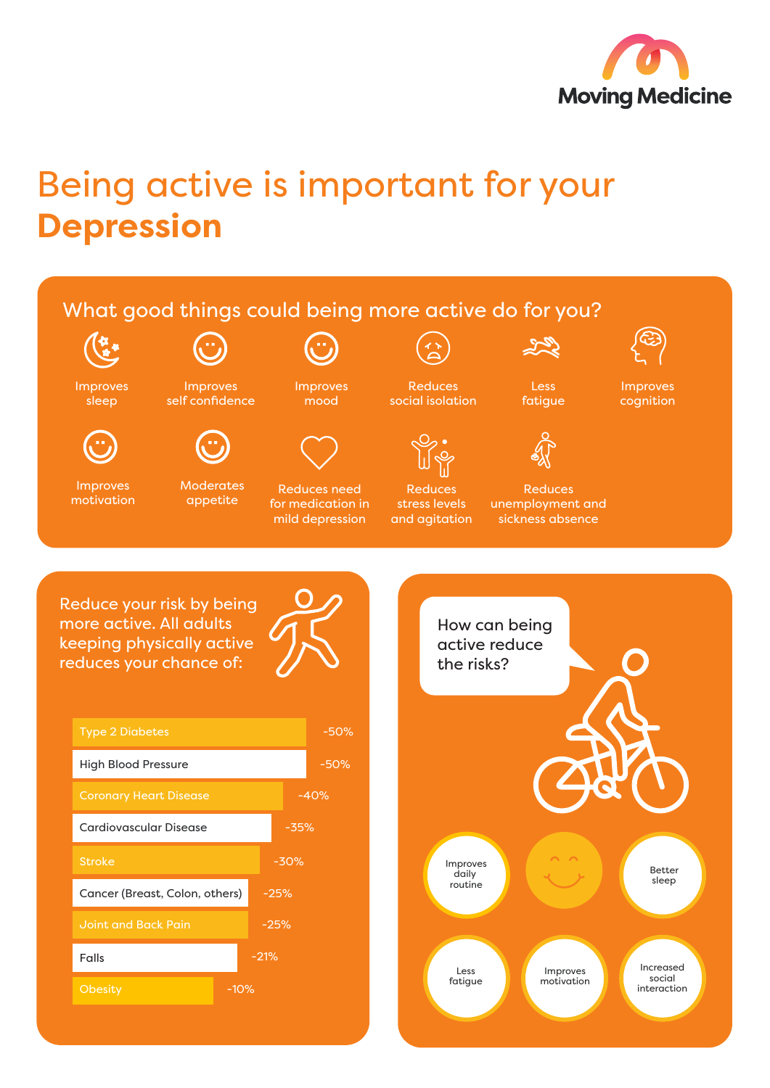

## Being active is important for your **Depression**

## What good things could being more active do for you? لمحركه Improves Reduces Less Improves Improves Improves self confidence mood social isolation fatigue cognition sleep Moderates Improves Reduces need Reduces Reduces motivation appetite unemployment and for medication in stress levels mild depression and agitation sickness absence Reduce your risk by being more active. All adults How can being keeping physically active active reduce reduces your chance of: the risks? Type 2 Diabetes -50% High Blood Pressure -50% Coronary Heart Disease -40% Cardiovascular Disease -35% Stroke -30% Improves Better daily sleep routine Cancer (Breast, Colon, others) -25% Joint and Back Pain -25%

Improves motivation

Increased social interaction

Less fatigue

Falls

-21%

-10%